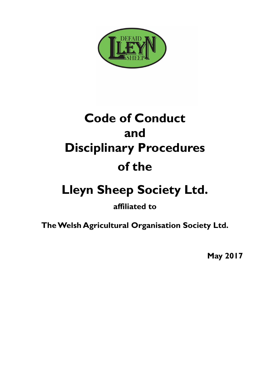

# **Code of Conduct and Disciplinary Procedures of the**

# **Lleyn Sheep Society Ltd.**

**affiliated to**

**The Welsh Agricultural Organisation Society Ltd.**

**May 2017**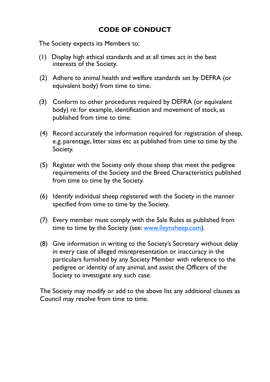#### **CODE OF CONDUCT**

The Society expects its Members to:

- (1) Display high ethical standards and at all times act in the best interests of the Society.
- (2) Adhere to animal health and welfare standards set by DEFRA (or equivalent body) from time to time.
- (3) Conform to other procedures required by DEFRA (or equivalent body) re: for example, identification and movement of stock, as published from time to time.
- (4) Record accurately the information required for registration of sheep, e.g. parentage, litter sizes etc as published from time to time by the Society.
- (5) Register with the Society only those sheep that meet the pedigree requirements of the Society and the Breed Characteristics published from time to time by the Society.
- (6) Identify individual sheep registered with the Society in the manner specified from time to time by the Society.
- (7) Every member must comply with the Sale Rules as published from time to time by the Society (see: [www.lleynsheep.com\).](http://www.lleynsheep.com)
- (8) Give information in writing to the Society's Secretary without delay in every case of alleged misrepresentation or inaccuracy in the particulars furnished by any Society Member with reference to the pedigree or identity of any animal, and assist the Officers of the Society to investigate any such case.

The Society may modify or add to the above list any additional clauses as Council may resolve from time to time.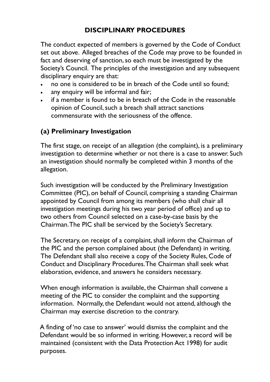### **DISCIPLINARY PROCEDURES**

The conduct expected of members is governed by the Code of Conduct set out above. Alleged breaches of the Code may prove to be founded in fact and deserving of sanction, so each must be investigated by the Society's Council. The principles of the investigation and any subsequent disciplinary enquiry are that:

- no one is considered to be in breach of the Code until so found;
- any enquiry will be informal and fair;
- if a member is found to be in breach of the Code in the reasonable opinion of Council, such a breach shall attract sanctions commensurate with the seriousness of the offence.

### **(a) Preliminary Investigation**

The first stage, on receipt of an allegation (the complaint), is a preliminary investigation to determine whether or not there is a case to answer. Such an investigation should normally be completed within 3 months of the allegation.

Such investigation will be conducted by the Preliminary Investigation Committee (PIC), on behalf of Council, comprising a standing Chairman appointed by Council from among its members (who shall chair all investigation meetings during his two year period of office) and up to two others from Council selected on a case-by-case basis by the Chairman. The PIC shall be serviced by the Society's Secretary.

The Secretary, on receipt of a complaint, shall inform the Chairman of the PIC and the person complained about (the Defendant) in writing. The Defendant shall also receive a copy of the Society Rules, Code of Conduct and Disciplinary Procedures. The Chairman shall seek what elaboration, evidence, and answers he considers necessary.

When enough information is available, the Chairman shall convene a meeting of the PIC to consider the complaint and the supporting information. Normally, the Defendant would not attend, although the Chairman may exercise discretion to the contrary.

A finding of 'no case to answer' would dismiss the complaint and the Defendant would be so informed in writing. However, a record will be maintained (consistent with the Data Protection Act 1998) for audit purposes.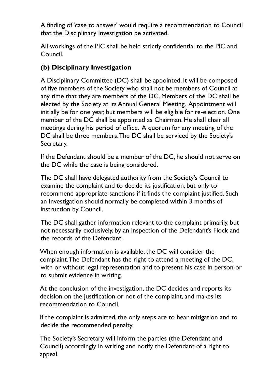A finding of 'case to answer' would require a recommendation to Council that the Disciplinary Investigation be activated.

All workings of the PIC shall be held strictly confidential to the PIC and Council.

#### **(b) Disciplinary Investigation**

A Disciplinary Committee (DC) shall be appointed. It will be composed of five members of the Society who shall not be members of Council at any time that they are members of the DC. Members of the DC shall be elected by the Society at its Annual General Meeting. Appointment will initially be for one year, but members will be eligible for re-election. One member of the DC shall be appointed as Chairman. He shall chair all meetings during his period of office. A quorum for any meeting of the DC shall be three members. The DC shall be serviced by the Society's Secretary.

If the Defendant should be a member of the DC, he should not serve on the DC while the case is being considered.

The DC shall have delegated authority from the Society's Council to examine the complaint and to decide its justification, but only to recommend appropriate sanctions if it finds the complaint justified. Such an Investigation should normally be completed within 3 months of instruction by Council.

The DC shall gather information relevant to the complaint primarily, but not necessarily exclusively, by an inspection of the Defendant's Flock and the records of the Defendant.

When enough information is available, the DC will consider the complaint. The Defendant has the right to attend a meeting of the DC, with or without legal representation and to present his case in person or to submit evidence in writing.

At the conclusion of the investigation, the DC decides and reports its decision on the justification or not of the complaint, and makes its recommendation to Council.

If the complaint is admitted, the only steps are to hear mitigation and to decide the recommended penalty.

The Society's Secretary will inform the parties (the Defendant and Council) accordingly in writing and notify the Defendant of a right to appeal.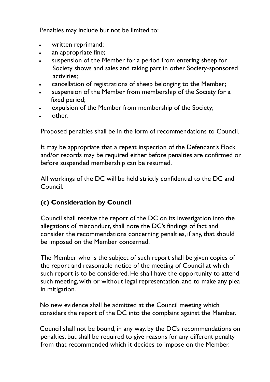Penalties may include but not be limited to:

- written reprimand;
- an appropriate fine;
- suspension of the Member for a period from entering sheep for Society shows and sales and taking part in other Society-sponsored activities;
- cancellation of registrations of sheep belonging to the Member;
- suspension of the Member from membership of the Society for a fixed period;
- expulsion of the Member from membership of the Society;
- other.

Proposed penalties shall be in the form of recommendations to Council.

It may be appropriate that a repeat inspection of the Defendant's Flock and/or records may be required either before penalties are confirmed or before suspended membership can be resumed.

All workings of the DC will be held strictly confidential to the DC and Council.

### **(c) Consideration by Council**

Council shall receive the report of the DC on its investigation into the allegations of misconduct, shall note the DC's findings of fact and consider the recommendations concerning penalties, if any, that should be imposed on the Member concerned.

The Member who is the subject of such report shall be given copies of the report and reasonable notice of the meeting of Council at which such report is to be considered. He shall have the opportunity to attend such meeting, with or without legal representation, and to make any plea in mitigation.

No new evidence shall be admitted at the Council meeting which considers the report of the DC into the complaint against the Member.

Council shall not be bound, in any way, by the DC's recommendations on penalties, but shall be required to give reasons for any different penalty from that recommended which it decides to impose on the Member.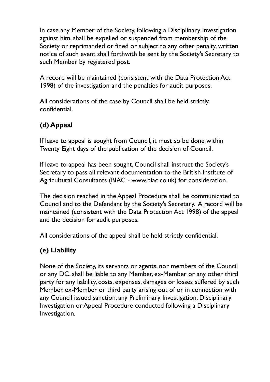In case any Member of the Society, following a Disciplinary Investigation against him, shall be expelled or suspended from membership of the Society or reprimanded or fined or subject to any other penalty, written notice of such event shall forthwith be sent by the Society's Secretary to such Member by registered post.

A record will be maintained (consistent with the Data Protection Act 1998) of the investigation and the penalties for audit purposes.

All considerations of the case by Council shall be held strictly confidential.

## **(d) Appeal**

If leave to appeal is sought from Council, it must so be done within Twenty Eight days of the publication of the decision of Council.

If leave to appeal has been sought, Council shall instruct the Society's Secretary to pass all relevant documentation to the British Institute of Agricultural Consultants (BIAC - [www.biac.co.uk\)](http://www.biac.co.uk) for consideration.

The decision reached in the Appeal Procedure shall be communicated to Council and to the Defendant by the Society's Secretary. A record will be maintained (consistent with the Data Protection Act 1998) of the appeal and the decision for audit purposes.

All considerations of the appeal shall be held strictly confidential.

### **(e) Liability**

None of the Society, its servants or agents, nor members of the Council or any DC, shall be liable to any Member, ex-Member or any other third party for any liability, costs, expenses, damages or losses suffered by such Member, ex-Member or third party arising out of or in connection with any Council issued sanction, any Preliminary Investigation, Disciplinary Investigation or Appeal Procedure conducted following a Disciplinary Investigation.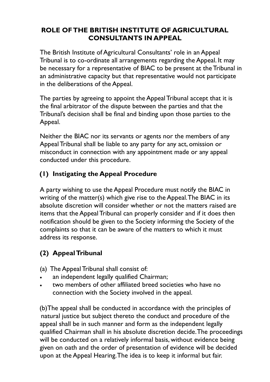#### **ROLE OF THE BRITISH INSTITUTE OF AGRICULTURAL CONSULTANTS IN APPEAL**

The British Institute of Agricultural Consultants' role in an Appeal Tribunal is to co-ordinate all arrangements regarding the Appeal. It may be necessary for a representative of BIAC to be present at the Tribunal in an administrative capacity but that representative would not participate in the deliberations of the Appeal.

The parties by agreeing to appoint the Appeal Tribunal accept that it is the final arbitrator of the dispute between the parties and that the Tribunal's decision shall be final and binding upon those parties to the Appeal.

Neither the BIAC nor its servants or agents nor the members of any Appeal Tribunal shall be liable to any party for any act, omission or misconduct in connection with any appointment made or any appeal conducted under this procedure.

#### **(1) Instigating the Appeal Procedure**

A party wishing to use the Appeal Procedure must notify the BIAC in writing of the matter(s) which give rise to the Appeal. The BIAC in its absolute discretion will consider whether or not the matters raised are items that the Appeal Tribunal can properly consider and if it does then notification should be given to the Society informing the Society of the complaints so that it can be aware of the matters to which it must address its response.

## **(2) Appeal Tribunal**

(a) The Appeal Tribunal shall consist of:

- an independent legally qualified Chairman;
- two members of other affiliated breed societies who have no connection with the Society involved in the appeal.

(b)The appeal shall be conducted in accordance with the principles of natural justice but subject thereto the conduct and procedure of the appeal shall be in such manner and form as the independent legally qualified Chairman shall in his absolute discretion decide. The proceedings will be conducted on a relatively informal basis, without evidence being given on oath and the order of presentation of evidence will be decided upon at the Appeal Hearing. The idea is to keep it informal but fair.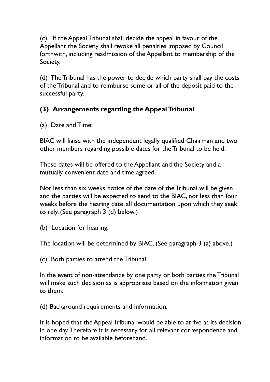(c) If the Appeal Tribunal shall decide the appeal in favour of the Appellant the Society shall revoke all penalties imposed by Council forthwith, including readmission of the Appellant to membership of the Society.

(d) The Tribunal has the power to decide which party shall pay the costs of the Tribunal and to reimburse some or all of the deposit paid to the successful party.

## **(3) Arrangements regarding the Appeal Tribunal**

(a) Date and Time:

BIAC will liaise with the independent legally qualified Chairman and two other members regarding possible dates for the Tribunal to be held.

These dates will be offered to the Appellant and the Society and a mutually convenient date and time agreed.

Not less than six weeks notice of the date of the Tribunal will be given and the parties will be expected to send to the BIAC, not less than four weeks before the hearing date, all documentation upon which they seek to rely. (See paragraph 3 (d) below.)

(b) Location for hearing:

The location will be determined by BIAC. (See paragraph 3 (a) above.)

(c) Both parties to attend the Tribunal

In the event of non-attendance by one party or both parties the Tribunal will make such decision as is appropriate based on the information given to them.

(d) Background requirements and information:

It is hoped that the Appeal Tribunal would be able to arrive at its decision in one day. Therefore it is necessary for all relevant correspondence and information to be available beforehand.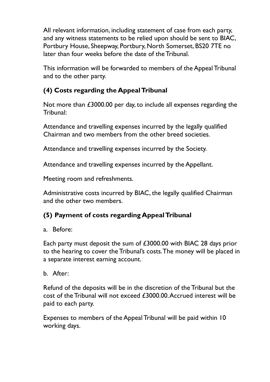All relevant information, including statement of case from each party, and any witness statements to be relied upon should be sent to BIAC, Portbury House, Sheepway, Portbury, North Somerset, BS20 7TE no later than four weeks before the date of the Tribunal.

This information will be forwarded to members of the Appeal Tribunal and to the other party.

#### **(4) Costs regarding the Appeal Tribunal**

Not more than £3000.00 per day, to include all expenses regarding the Tribunal:

Attendance and travelling expenses incurred by the legally qualified Chairman and two members from the other breed societies.

Attendance and travelling expenses incurred by the Society.

Attendance and travelling expenses incurred by the Appellant.

Meeting room and refreshments.

Administrative costs incurred by BIAC, the legally qualified Chairman and the other two members.

#### **(5) Payment of costs regarding Appeal Tribunal**

#### a. Before:

Each party must deposit the sum of £3000.00 with BIAC 28 days prior to the hearing to cover the Tribunal's costs. The money will be placed in a separate interest earning account.

b. After:

Refund of the deposits will be in the discretion of the Tribunal but the cost of the Tribunal will not exceed £3000.00. Accrued interest will be paid to each party.

Expenses to members of the Appeal Tribunal will be paid within 10 working days.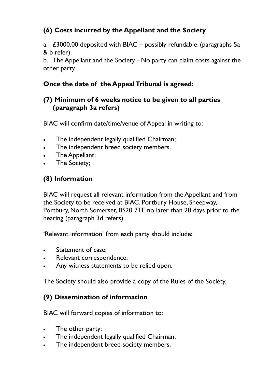### **(6) Costs incurred by the Appellant and the Society**

a. £3000.00 deposited with BIAC – possibly refundable. (paragraphs 5a & b refer).

b. The Appellant and the Society - No party can claim costs against the other party.

#### **Once the date of the Appeal Tribunal is agreed:**

#### **(7) Minimum of 6 weeks notice to be given to all parties (paragraph 3a refers)**

BIAC will confirm date/time/venue of Appeal in writing to:

- The independent legally qualified Chairman;
- The independent breed society members.
- The Appellant;
- The Society;

## **(8) Information**

BIAC will request all relevant information from the Appellant and from the Society to be received at BIAC, Portbury House, Sheepway, Portbury, North Somerset, BS20 7TE no later than 28 days prior to the hearing (paragraph 3d refers).

'Relevant information' from each party should include:

- Statement of case;
- Relevant correspondence;
- Any witness statements to be relied upon.

The Society should also provide a copy of the Rules of the Society.

#### **(9) Dissemination of information**

BIAC will forward copies of information to:

- The other party;
- The independent legally qualified Chairman;
- The independent breed society members.